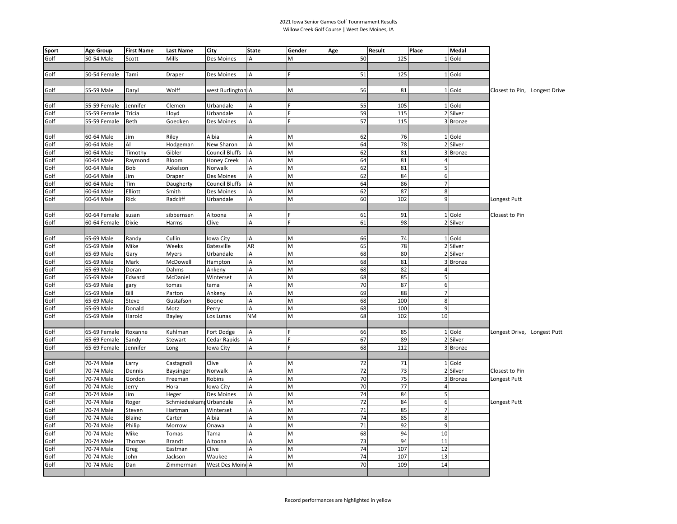## 2021 Iowa Senior Games Golf Tounrnament Results Willow Creek Golf Course | West Des Moines, IA

| <b>Sport</b> | <b>Age Group</b> | <b>First Name</b> | <b>Last Name</b> | City                  | <b>State</b> | Gender         | Age | Result | Place          | Medal         |                             |                               |
|--------------|------------------|-------------------|------------------|-----------------------|--------------|----------------|-----|--------|----------------|---------------|-----------------------------|-------------------------------|
| Golf         | 50-54 Male       | Scott             | Mills            | Des Moines            | IA           | $\overline{M}$ | 50  | 125    |                | 1 Gold        |                             |                               |
|              |                  |                   |                  |                       |              |                |     |        |                |               |                             |                               |
| Golf         | 50-54 Female     | Tami              | <b>Draper</b>    | Des Moines            | IA           | F              | 51  | 125    |                | 1 Gold        |                             |                               |
|              |                  |                   |                  |                       |              |                |     |        |                |               |                             |                               |
| Golf         | 55-59 Male       | Daryl             | Wolff            | west Burlington IA    |              | M              | 56  | 81     |                | 1 Gold        |                             | Closest to Pin, Longest Drive |
|              |                  |                   |                  |                       |              |                |     |        |                |               |                             |                               |
| Golf         | 55-59 Female     | Jennifer          | Clemen           | Urbandale             | IA           |                | 55  | 105    |                | 1 Gold        |                             |                               |
| Golf         | 55-59 Female     | Tricia            | Lloyd            | Urbandale             | IA           | Ë              | 59  | 115    |                | 2 Silver      |                             |                               |
| Golf         | 55-59 Female     | <b>Beth</b>       | Goedken          | Des Moines            | IA           | E              | 57  | 115    |                | 3 Bronze      |                             |                               |
|              |                  |                   |                  |                       |              |                |     |        |                |               |                             |                               |
| Golf         | 60-64 Male       | Jim               | Riley            | Albia                 | IA           | M              | 62  | 76     |                | 1 Gold        |                             |                               |
| Golf         | 60-64 Male       | Al                | Hodgeman         | New Sharon            | IA           | M              | 64  | 78     |                | 2 Silver      |                             |                               |
| Golf         | 60-64 Male       | Timothy           | Gibler           | <b>Council Bluffs</b> | IA           | M              | 62  | 81     |                | 3 Bronze      |                             |                               |
| Golf         | 60-64 Male       | Raymond           | Bloom            | Honey Creek           | IA           | M              | 64  | 81     | 4              |               |                             |                               |
| Golf         | 60-64 Male       | Bob               | Askelson         | Norwalk               | IA           | M              | 62  | 81     | 5              |               |                             |                               |
| Golf         | 60-64 Male       | Jim               | Draper           | Des Moines            | IA           | M              | 62  | 84     | 6              |               |                             |                               |
| Golf         | 60-64 Male       | Tim               | Daugherty        | <b>Council Bluffs</b> | IA           | M              | 64  | 86     | $\overline{7}$ |               |                             |                               |
| Golf         | 60-64 Male       | Elliott           | Smith            | Des Moines            | IA           | M              | 62  | 87     | 8              |               |                             |                               |
| Golf         | 60-64 Male       | Rick              | Radcliff         | Urbandale             | IA           | M              | 60  | 102    | 9              |               | Longest Putt                |                               |
|              |                  |                   |                  |                       |              |                |     |        |                |               |                             |                               |
| Golf         | 60-64 Female     | susan             | sibbernsen       | Altoona               | IA           | F              | 61  | 91     |                | 1 Gold        | Closest to Pin              |                               |
| Golf         | 60-64 Female     | <b>Dixie</b>      | Harms            | Clive                 | IA           | Ë              | 61  | 98     |                | 2 Silver      |                             |                               |
|              |                  |                   |                  |                       |              |                |     |        |                |               |                             |                               |
| Golf         | 65-69 Male       | Randy             | Cullin           | lowa City             | IA           | M              | 66  | 74     |                | 1 Gold        |                             |                               |
| Golf         | 65-69 Male       | Mike              | Weeks            | <b>Batesville</b>     | AR           | M              | 65  | 78     |                | 2 Silver      |                             |                               |
| Golf         | 65-69 Male       | Gary              | <b>Myers</b>     | Urbandale             | IA           | M              | 68  | 80     |                | 2 Silver      |                             |                               |
| Golf         | 65-69 Male       | Mark              | McDowell         | Hampton               | IA           | M              | 68  | 81     | $\overline{3}$ | <b>Bronze</b> |                             |                               |
| Golf         | 65-69 Male       | Doran             | Dahms            | Ankeny                | IA           | M              | 68  | 82     | 4              |               |                             |                               |
| Golf         | 65-69 Male       | Edward            | McDaniel         | Winterset             | IA           | M              | 68  | 85     | 5              |               |                             |                               |
| Golf         | 65-69 Male       | gary              | tomas            | tama                  | IA           | M              | 70  | 87     | 6              |               |                             |                               |
| Golf         | 65-69 Male       | Bill              | Parton           | Ankeny                | IA           | M              | 69  | 88     | $\overline{7}$ |               |                             |                               |
| Golf         | 65-69 Male       | Steve             | Gustafson        | Boone                 | IA           | M              | 68  | 100    | 8              |               |                             |                               |
| Golf         | 65-69 Male       | Donald            | Motz             | Perry                 | IA           | M              | 68  | 100    | 9              |               |                             |                               |
| Golf         | 65-69 Male       | Harold            | Bayley           | Los Lunas             | <b>NM</b>    | M              | 68  | 102    | 10             |               |                             |                               |
|              |                  |                   |                  |                       |              |                |     |        |                |               |                             |                               |
| Golf         | 65-69 Female     | Roxanne           | Kuhlman          | Fort Dodge            | IA           |                | 66  | 85     |                | 1 Gold        | Longest Drive, Longest Putt |                               |
| Golf         | 65-69 Female     | Sandy             | Stewart          | Cedar Rapids          | IA           | Ë              | 67  | 89     |                | 2 Silver      |                             |                               |
| Golf         | 65-69 Female     | Jennifer          | Long             | Iowa City             | IA           | Ė              | 68  | 112    |                | 3 Bronze      |                             |                               |
|              |                  |                   |                  |                       |              |                |     |        |                |               |                             |                               |
| Golf         | 70-74 Male       | Larry             | Castagnoli       | Clive                 | IA           | M              | 72  | 71     |                | 1 Gold        |                             |                               |
| Golf         | 70-74 Male       | Dennis            | Baysinger        | Norwalk               | IA           | M              | 72  | 73     |                | 2 Silver      | Closest to Pin              |                               |
| Golf         | 70-74 Male       | Gordon            | Freeman          | Robins                | IA           | M              | 70  | 75     |                | 3 Bronze      | Longest Putt                |                               |
| Golf         | 70-74 Male       | Jerry             | Hora             | lowa City             | IA           | M              | 70  | 77     | $\overline{4}$ |               |                             |                               |
| Golf         | 70-74 Male       | Jim               | Heger            | Des Moines            | IA           | M              | 74  | 84     | 5              |               |                             |                               |
| Golf         | 70-74 Male       | Roger             | Schmiedeskam     | Urbandale             | IA           | M              | 72  | 84     | 6              |               | Longest Putt                |                               |
| Golf         | 70-74 Male       | Steven            | Hartman          | Winterset             | IA           | M              | 71  | 85     | $\overline{7}$ |               |                             |                               |
| Golf         | 70-74 Male       | Blaine            | Carter           | Albia                 | IA           | M              | 74  | 85     | 8              |               |                             |                               |
| Golf         | 70-74 Male       | Philip            | Morrow           | Onawa                 | IA           | M              | 71  | 92     | 9              |               |                             |                               |
| Golf         | 70-74 Male       | Mike              | Tomas            | Tama                  | IA           | M              | 68  | 94     | 10             |               |                             |                               |
| Golf         | 70-74 Male       | Thomas            | <b>Brandt</b>    | Altoona               | IA           | M              | 73  | 94     | 11             |               |                             |                               |
| Golf         | 70-74 Male       | Greg              | Eastman          | Clive                 | IA           | M              | 74  | 107    | 12             |               |                             |                               |
| Golf         | 70-74 Male       | John              | Jackson          | Waukee                | IA           | M              | 74  | 107    | 13             |               |                             |                               |
| Golf         | 70-74 Male       | Dan               | Zimmerman        | West Des Moin IA      |              | M              | 70  | 109    | 14             |               |                             |                               |
|              |                  |                   |                  |                       |              |                |     |        |                |               |                             |                               |